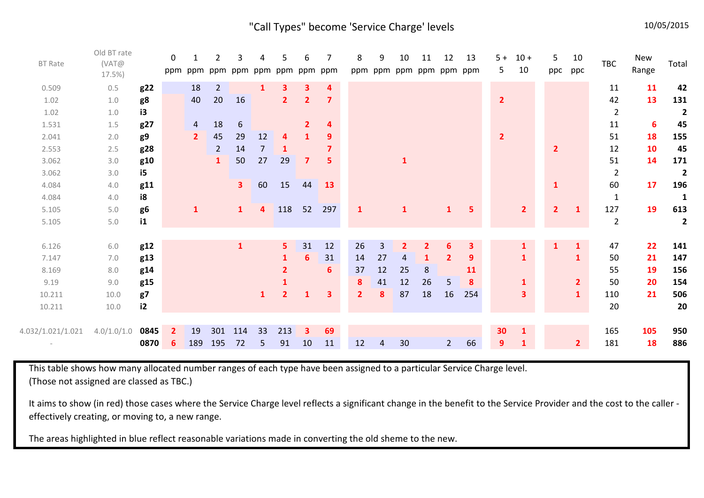## "Call Types" become 'Service Charge' levels 10/05/2015

| <b>BT Rate</b>    | Old BT rate<br>(VAT@<br>$17.5\%$ |              | $\mathbf{0}$<br>ppm | ppm            | 2<br>ppm       | 3<br>ppm       | ppm            | 5<br>ppm       | 6<br>ppm                | 7<br>ppm                | 8              | 9<br>ppm ppm | 10<br>ppm ppm ppm ppm | 11             | 12             | 13  | $5+$<br>5      | $10 +$<br>10            | 5<br>ppc       | 10<br>ppc      | <b>TBC</b>     | New<br>Range | Total                   |
|-------------------|----------------------------------|--------------|---------------------|----------------|----------------|----------------|----------------|----------------|-------------------------|-------------------------|----------------|--------------|-----------------------|----------------|----------------|-----|----------------|-------------------------|----------------|----------------|----------------|--------------|-------------------------|
| 0.509             | 0.5                              | g22          |                     | 18             | $\overline{2}$ |                | $\mathbf{1}$   | 3              | З.                      | 4                       |                |              |                       |                |                |     |                |                         |                |                | 11             | 11           | 42                      |
| 1.02              | 1.0                              | g8           |                     | 40             | 20             | 16             |                | $\mathbf{2}$   | $\mathbf{2}$            | $\overline{\mathbf{z}}$ |                |              |                       |                |                |     | $\overline{2}$ |                         |                |                | 42             | 13           | 131                     |
| 1.02              | 1.0                              | i3           |                     |                |                |                |                |                |                         |                         |                |              |                       |                |                |     |                |                         |                |                | $\overline{2}$ |              | $\overline{\mathbf{2}}$ |
| 1.531             | 1.5                              | g27          |                     | $\overline{4}$ | 18             | 6              |                |                | $\mathbf{2}$            | 4                       |                |              |                       |                |                |     |                |                         |                |                | 11             | 6            | 45                      |
| 2.041             | 2.0                              | g9           |                     | $\overline{2}$ | 45             | 29             | 12             | 4              | $\mathbf{1}$            | 9                       |                |              |                       |                |                |     | $\overline{2}$ |                         |                |                | 51             | 18           | 155                     |
| 2.553             | 2.5                              | g28          |                     |                | $\overline{2}$ | 14             | $\overline{7}$ | $\mathbf{1}$   |                         | $\overline{ }$          |                |              |                       |                |                |     |                |                         | $\overline{2}$ |                | 12             | 10           | 45                      |
| 3.062             | 3.0                              | g10          |                     |                | $\mathbf{1}$   | 50             | 27             | 29             | $\overline{\mathbf{z}}$ | 5                       |                |              | $\mathbf{1}$          |                |                |     |                |                         |                |                | 51             | 14           | 171                     |
| 3.062             | 3.0                              | i5           |                     |                |                |                |                |                |                         |                         |                |              |                       |                |                |     |                |                         |                |                | $\overline{2}$ |              | $\overline{2}$          |
| 4.084             | 4.0                              | g11          |                     |                |                | 3 <sup>1</sup> | 60             | 15             | 44                      | 13                      |                |              |                       |                |                |     |                |                         | $\mathbf{1}$   |                | 60             | 17           | 196                     |
| 4.084             | 4.0                              | i8           |                     |                |                |                |                |                |                         |                         |                |              |                       |                |                |     |                |                         |                |                | $\mathbf{1}$   |              | 1                       |
| 5.105             | 5.0                              | g6           |                     | $\mathbf{1}$   |                | $\mathbf{1}$   | 4              | 118            | 52                      | 297                     | $\mathbf{1}$   |              | $\mathbf{1}$          |                | $\mathbf{1}$   | 5   |                | $\overline{2}$          | $\overline{2}$ | $\mathbf{1}$   | 127            | 19           | 613                     |
| 5.105             | 5.0                              | $\mathbf{1}$ |                     |                |                |                |                |                |                         |                         |                |              |                       |                |                |     |                |                         |                |                | $\overline{2}$ |              | $\overline{2}$          |
|                   |                                  |              |                     |                |                |                |                |                |                         |                         |                |              |                       |                |                |     |                |                         |                |                |                |              |                         |
| 6.126             | 6.0                              | g12          |                     |                |                | ${\bf 1}$      |                | 5 <sub>1</sub> | 31                      | 12                      | 26             | 3            | $\overline{2}$        | $\overline{2}$ | 6              | 3   |                | $\mathbf{1}$            | $\mathbf{1}$   | $\mathbf{1}$   | 47             | 22           | 141                     |
| 7.147             | 7.0                              | g13          |                     |                |                |                |                | $\mathbf{1}$   | 6                       | 31                      | 14             | 27           | 4                     | $\mathbf{1}$   | $\overline{2}$ | 9   |                | $\mathbf{1}$            |                | $\mathbf{1}$   | 50             | 21           | 147                     |
| 8.169             | 8.0                              | g14          |                     |                |                |                |                | $\mathbf{2}$   |                         | 6                       | 37             | 12           | 25                    | 8              |                | 11  |                |                         |                |                | 55             | 19           | 156                     |
| 9.19              | 9.0                              | g15          |                     |                |                |                |                | $\mathbf{1}$   |                         |                         | 8              | 41           | 12                    | 26             | 5              | 8   |                | $\mathbf{1}$            |                | $\overline{2}$ | 50             | 20           | 154                     |
| 10.211            | 10.0                             | g7           |                     |                |                |                | $\mathbf{1}$   | $\overline{2}$ | 1                       | $\overline{\mathbf{3}}$ | 2 <sup>1</sup> | 8            | 87                    | 18             | 16             | 254 |                | $\overline{\mathbf{3}}$ |                | $\mathbf{1}$   | 110            | 21           | 506                     |
| 10.211            | 10.0                             | i2           |                     |                |                |                |                |                |                         |                         |                |              |                       |                |                |     |                |                         |                |                | 20             |              | 20                      |
|                   |                                  |              |                     |                |                |                |                |                |                         |                         |                |              |                       |                |                |     |                |                         |                |                |                |              |                         |
| 4.032/1.021/1.021 | 4.0/1.0/1.0                      | 0845         | $\mathbf{2}$        | 19             | 301            | 114            | 33             | 213            | $\mathbf{3}$            | 69                      |                |              |                       |                |                |     | 30             | $\mathbf{1}$            |                |                | 165            | 105          | 950                     |
|                   |                                  | 0870         | 6                   | 189            | 195            | 72             | 5              | 91             | 10                      | 11                      | 12             | 4            | 30                    |                | $2^{\circ}$    | 66  | 9              | $\mathbf{1}$            |                | $\overline{2}$ | 181            | 18           | 886                     |

This table shows how many allocated number ranges of each type have been assigned to a particular Service Charge level. (Those not assigned are classed as TBC.)

It aims to show (in red) those cases where the Service Charge level reflects a significant change in the benefit to the Service Provider and the cost to the caller effectively creating, or moving to, a new range.

The areas highlighted in blue reflect reasonable variations made in converting the old sheme to the new.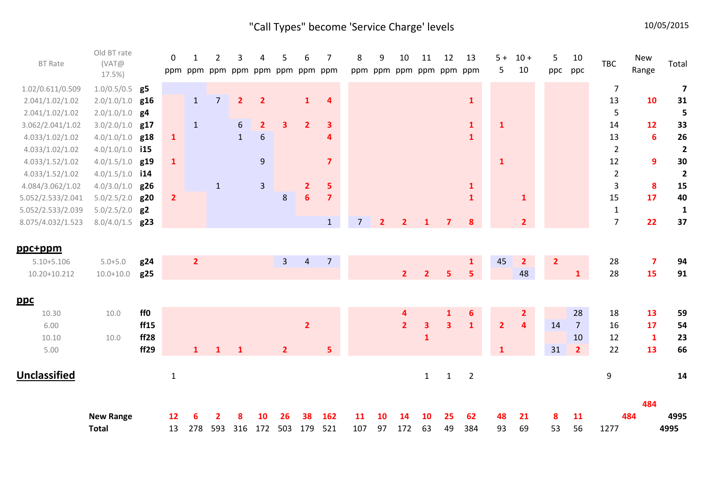# "Call Types" become 'Service Charge' levels 10/05/2015

| <b>BT Rate</b>                            | Old BT rate<br>(VAT@<br>17.5%) |            | $\Omega$       | ppm ppm        | 2              | 3               | Δ<br>ppm ppm ppm ppm ppm ppm | 5              | 6              | 7                       | 8              | 9              | 10<br>ppm ppm ppm | 11                      | 12<br>ppm ppm ppm       | 13                | $5 +$<br>5     | $10 +$<br>10            | 5<br>ppc       | 10<br>ppc      | <b>TBC</b>     | <b>New</b><br>Range           | Total                   |
|-------------------------------------------|--------------------------------|------------|----------------|----------------|----------------|-----------------|------------------------------|----------------|----------------|-------------------------|----------------|----------------|-------------------|-------------------------|-------------------------|-------------------|----------------|-------------------------|----------------|----------------|----------------|-------------------------------|-------------------------|
| 1.02/0.611/0.509                          | $1.0/0.5/0.5$ g5               |            |                |                |                |                 |                              |                |                |                         |                |                |                   |                         |                         |                   |                |                         |                |                | $\overline{7}$ |                               | $\overline{\mathbf{z}}$ |
| 2.041/1.02/1.02                           | 2.0/1.0/1.0                    | g16        |                | $\mathbf{1}$   | $\overline{7}$ | $\overline{2}$  | $\overline{2}$               |                | $\mathbf{1}$   | 4                       |                |                |                   |                         |                         | $\mathbf{1}$      |                |                         |                |                | 13             | 10                            | 31                      |
| 2.041/1.02/1.02                           | $2.0/1.0/1.0$ g4               |            |                |                |                |                 |                              |                |                |                         |                |                |                   |                         |                         |                   |                |                         |                |                | 5              |                               | 5                       |
| 3.062/2.041/1.02                          | $3.0/2.0/1.0$ g17              |            |                | $\mathbf{1}$   |                | $6\phantom{.}6$ | $\overline{2}$               | 3              | $\overline{2}$ | 3                       |                |                |                   |                         |                         | $\mathbf{1}$      | $\mathbf{1}$   |                         |                |                | 14             | 12                            | 33                      |
| 4.033/1.02/1.02                           | 4.0/1.0/1.0                    | g18        | $\mathbf{1}$   |                |                | $\mathbf{1}$    | $6\,$                        |                |                | 4                       |                |                |                   |                         |                         | $\mathbf{1}$      |                |                         |                |                | 13             | 6                             | 26                      |
| 4.033/1.02/1.02                           | $4.0/1.0/1.0$ i15              |            |                |                |                |                 |                              |                |                |                         |                |                |                   |                         |                         |                   |                |                         |                |                | $\overline{2}$ |                               | $\overline{\mathbf{c}}$ |
| 4.033/1.52/1.02                           | $4.0/1.5/1.0$ g19              |            | $\mathbf{1}$   |                |                |                 | $\boldsymbol{9}$             |                |                | $\overline{\mathbf{z}}$ |                |                |                   |                         |                         |                   | $\mathbf{1}$   |                         |                |                | 12             | 9                             | $30\,$                  |
| 4.033/1.52/1.02                           | $4.0/1.5/1.0$ i14              |            |                |                |                |                 |                              |                |                |                         |                |                |                   |                         |                         |                   |                |                         |                |                | $\overline{2}$ |                               | $\overline{2}$          |
| 4.084/3.062/1.02                          | $4.0/3.0/1.0$ g26              |            |                |                | $\mathbf{1}$   |                 | 3                            |                | $\overline{2}$ | 5                       |                |                |                   |                         |                         | 1                 |                |                         |                |                | $\overline{3}$ | 8                             | 15                      |
| 5.052/2.533/2.041                         | 5.0/2.5/2.0                    | g20        | $\overline{2}$ |                |                |                 |                              | 8              | $6\phantom{1}$ | $\overline{\mathbf{z}}$ |                |                |                   |                         |                         | $\mathbf{1}$      |                | $\mathbf{1}$            |                |                | 15             | 17                            | 40                      |
| 5.052/2.533/2.039                         | $5.0/2.5/2.0$ g2               |            |                |                |                |                 |                              |                |                |                         |                |                |                   |                         |                         |                   |                |                         |                |                | $\mathbf{1}$   |                               | $\mathbf{1}$            |
| 8.075/4.032/1.523                         | 8.0/4.0/1.5                    | g23        |                |                |                |                 |                              |                |                | $\mathbf{1}$            | $\overline{7}$ | $\overline{2}$ | $\overline{2}$    |                         | $\overline{\mathbf{z}}$ | 8                 |                | $\overline{2}$          |                |                | $\overline{7}$ | 22                            | 37                      |
| ppc+ppm<br>$5.10 + 5.106$<br>10.20+10.212 | $5.0 + 5.0$<br>$10.0 + 10.0$   | g24<br>g25 |                | $\overline{2}$ |                |                 |                              | 3 <sup>1</sup> | $\overline{4}$ | $\overline{7}$          |                |                | 2 <sup>1</sup>    | $\overline{2}$          | 5                       | $\mathbf{1}$<br>5 | 45             | $\overline{2}$<br>48    | $\overline{2}$ | $\mathbf{1}$   | 28<br>28       | $\overline{\mathbf{z}}$<br>15 | 94<br>91                |
| <u>ppc</u>                                |                                |            |                |                |                |                 |                              |                |                |                         |                |                |                   |                         |                         |                   |                |                         |                |                |                |                               |                         |
| 10.30                                     | 10.0                           | ff0        |                |                |                |                 |                              |                |                |                         |                |                | 4                 |                         | $\mathbf{1}$            | 6                 |                | $\overline{2}$          |                | 28             | 18             | 13                            | 59                      |
| 6.00                                      |                                | ff15       |                |                |                |                 |                              |                | $\overline{2}$ |                         |                |                | $\overline{2}$    | $\overline{\mathbf{3}}$ | $\overline{\mathbf{3}}$ | $\mathbf{1}$      | $\overline{2}$ | $\overline{\mathbf{4}}$ | 14             | $\overline{7}$ | 16             | 17                            | 54                      |
| 10.10                                     | 10.0                           | ff28       |                |                |                |                 |                              |                |                |                         |                |                |                   | $\mathbf{1}$            |                         |                   |                |                         |                | 10             | 12             | $\mathbf{1}$                  | 23                      |
| 5.00                                      |                                | ff29       |                | $\mathbf{1}$   | $\mathbf{1}$   | $\mathbf{1}$    |                              | $\overline{2}$ |                | 5                       |                |                |                   |                         |                         |                   | $\mathbf{1}$   |                         | 31             | $\overline{2}$ | 22             | 13                            | 66                      |
| Unclassified                              |                                |            | $\mathbf{1}$   |                |                |                 |                              |                |                |                         |                |                |                   | $1\,$                   | $\mathbf{1}$            | $\overline{2}$    |                |                         |                |                | 9              |                               | 14                      |
|                                           |                                |            |                |                |                |                 |                              |                |                |                         |                |                |                   |                         |                         |                   |                |                         |                |                |                | 484                           |                         |
|                                           | <b>New Range</b>               |            | 12             |                |                |                 | 10                           | 26             | 38             | 162                     | 11             | 10             | 14                | 10                      | 25                      | 62                | 48             | 21                      | 8              | 11             |                | 484                           | 4995                    |
|                                           | <b>Total</b>                   |            | 13             | 278            | 593            | 316             | 172                          | 503            | 179            | 521                     | 107            | 97             | 172               | 63                      | 49                      | 384               | 93             | 69                      | 53             | 56             | 1277           |                               | 4995                    |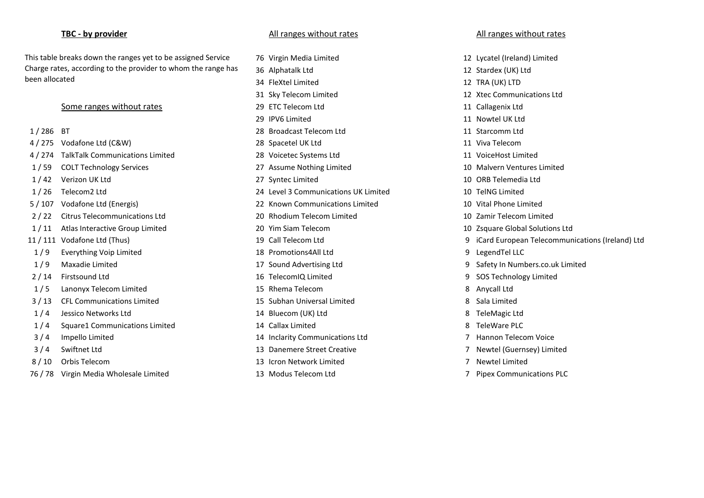This table breaks down the ranges yet to be assigned Service Charge rates, according to the provider to whom the range has been allocated

|  | 286<br>{ | Τ |
|--|----------|---|
|--|----------|---|

- 
- 4 / 274 TalkTalk Communications Limited 28 Voicetec Systems Ltd 11 VoiceHost Limited
- 
- 
- 
- 
- 2 / 22 Citrus Telecommunications Ltd 20 Rhodium Telecom Limited 10 Zamir Telecom Limited
- 1 / 11 Atlas Interactive Group Limited 20 Yim Siam Telecom 10 Zsquare Global Solutions Ltd
- 
- 
- 
- 
- 
- 3 / 13 CFL Communications Limited 15 Subhan Universal Limited 8 Sala Limited
- 
- 1 / 4 Square1 Communications Limited 14 Callax Limited 8 TeleWare PLC
- 
- 
- 
- 76 / 78 Virgin Media Wholesale Limited 13 Modus Telecom Ltd 7 Pipex Communications PLC

### **TBC - by provider** All ranges without rates All ranges without rates All ranges without rates All ranges without rates

76 Virgin Media Limited 12 Lycatel (Ireland) Limited 36 Alphatalk Ltd 12 Stardex (UK) Ltd 34 FleXtel Limited 12 TRA (UK) LTD 31 Sky Telecom Limited 12 Xtec Communications Ltd Some ranges without rates and the state of the 29 ETC Telecom Ltd 11 Callagenix Ltd 11 Callagenix Ltd 29 IPV6 Limited 11 Nowtel UK Ltd 28 Broadcast Telecom Ltd 11 Starcomm Ltd 4 / 275 Vodafone Ltd (C&W) 28 Spacetel UK Ltd 11 Viva Telecom 1 / 59 COLT Technology Services 27 Assume Nothing Limited 10 Malvern Ventures Limited 1 / 42 Verizon UK Ltd 27 Syntec Limited 10 ORB Telemedia Ltd 1 / 26 Telecom2 Ltd 24 Level 3 Communications UK Limited 10 TelNG Limited 5 / 107 Vodafone Ltd (Energis) 22 Known Communications Limited 10 Vital Phone Limited 1 / 9 Everything Voip Limited 18 Promotions4All Ltd 9 LegendTel LLC 1 / 9 Maxadie Limited 17 Sound Advertising Ltd 9 Safety In Numbers.co.uk Limited 2 / 14 Firstsound Ltd 16 TelecomIQ Limited 9 SOS Technology Limited 1 / 5 Lanonyx Telecom Limited 15 Rhema Telecom 8 Anycall Ltd 1 / 4 Jessico Networks Ltd 14 Bluecom (UK) Ltd 8 TeleMagic Ltd 3 / 4 Impello Limited 14 Inclarity Communications Ltd 7 Hannon Telecom Voice

- 
- 8 / 10 Orbis Telecom 13 Icron Network Limited 7 Newtel Limited
	-

- 
- 
- 
- 
- 
- 
- 
- 
- 
- 
- 
- 
- 
- 
- 
- 11 / 111 Vodafone Ltd (Thus) 19 Call Telecom Ltd 9 iCard European Telecommunications (Ireland) Ltd
	-
	-
	-
	-
	-
	-
	-
	-
- 3 / 4 Swiftnet Ltd 13 Danemere Street Creative 7 Newtel (Guernsey) Limited
	-
	-